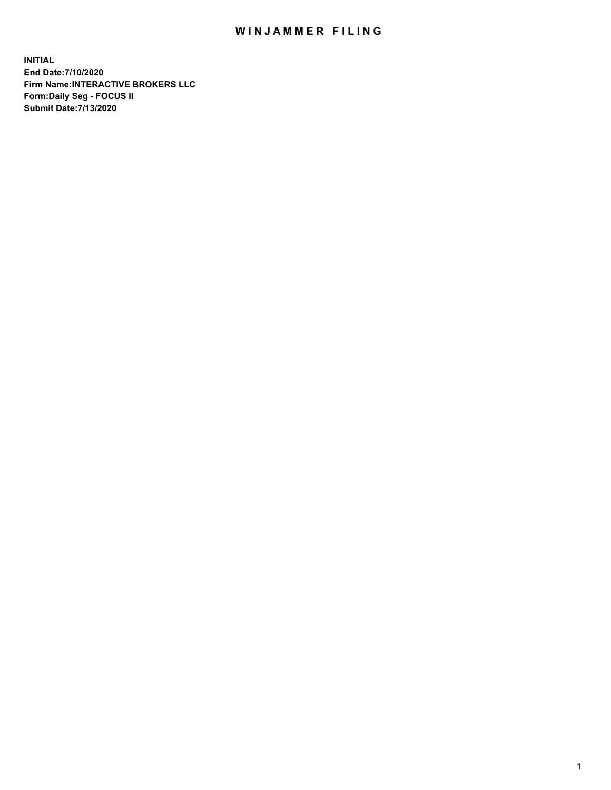## WIN JAMMER FILING

**INITIAL End Date:7/10/2020 Firm Name:INTERACTIVE BROKERS LLC Form:Daily Seg - FOCUS II Submit Date:7/13/2020**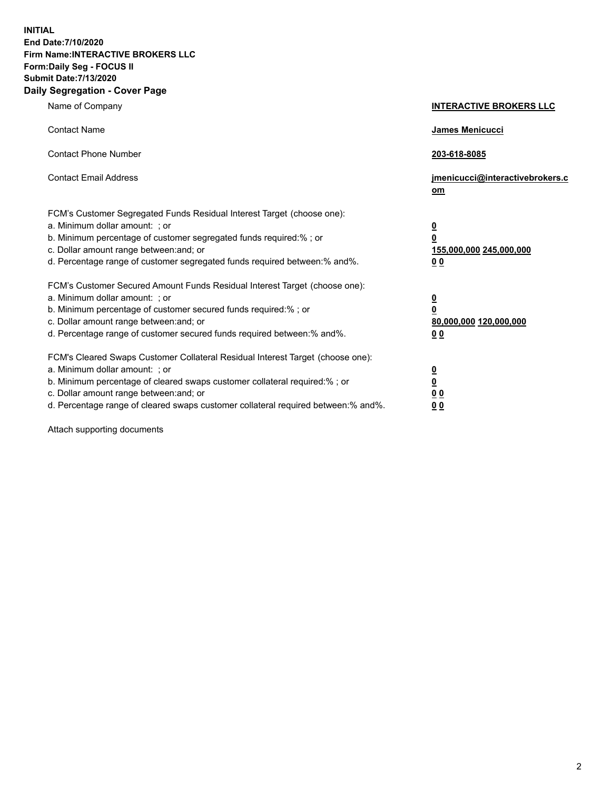**INITIAL End Date:7/10/2020 Firm Name:INTERACTIVE BROKERS LLC Form:Daily Seg - FOCUS II Submit Date:7/13/2020 Daily Segregation - Cover Page**

| Name of Company                                                                                                                                                                                                                                                                                                               | <b>INTERACTIVE BROKERS LLC</b>                                                                  |  |
|-------------------------------------------------------------------------------------------------------------------------------------------------------------------------------------------------------------------------------------------------------------------------------------------------------------------------------|-------------------------------------------------------------------------------------------------|--|
| <b>Contact Name</b>                                                                                                                                                                                                                                                                                                           | James Menicucci                                                                                 |  |
| <b>Contact Phone Number</b>                                                                                                                                                                                                                                                                                                   | 203-618-8085                                                                                    |  |
| <b>Contact Email Address</b>                                                                                                                                                                                                                                                                                                  | jmenicucci@interactivebrokers.c<br><u>om</u>                                                    |  |
| FCM's Customer Segregated Funds Residual Interest Target (choose one):<br>a. Minimum dollar amount: ; or<br>b. Minimum percentage of customer segregated funds required:% ; or<br>c. Dollar amount range between: and; or<br>d. Percentage range of customer segregated funds required between:% and%.                        | $\overline{\mathbf{0}}$<br>$\overline{\mathbf{0}}$<br>155,000,000 245,000,000<br>0 <sub>0</sub> |  |
| FCM's Customer Secured Amount Funds Residual Interest Target (choose one):<br>a. Minimum dollar amount: ; or<br>b. Minimum percentage of customer secured funds required:%; or<br>c. Dollar amount range between: and; or<br>d. Percentage range of customer secured funds required between:% and%.                           | $\overline{\mathbf{0}}$<br>$\overline{\mathbf{0}}$<br>80,000,000 120,000,000<br>0 <sub>0</sub>  |  |
| FCM's Cleared Swaps Customer Collateral Residual Interest Target (choose one):<br>a. Minimum dollar amount: ; or<br>b. Minimum percentage of cleared swaps customer collateral required:%; or<br>c. Dollar amount range between: and; or<br>d. Percentage range of cleared swaps customer collateral required between:% and%. | $\overline{\mathbf{0}}$<br>$\overline{\mathbf{0}}$<br>0 <sub>0</sub><br>0 <sub>0</sub>          |  |

Attach supporting documents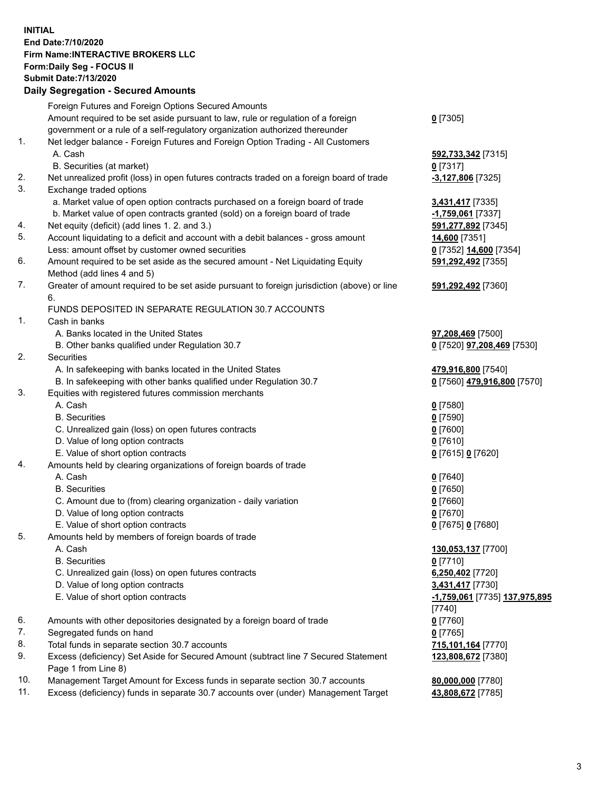**INITIAL End Date:7/10/2020 Firm Name:INTERACTIVE BROKERS LLC Form:Daily Seg - FOCUS II Submit Date:7/13/2020 Daily Segregation - Secured Amounts**

## Foreign Futures and Foreign Options Secured Amounts Amount required to be set aside pursuant to law, rule or regulation of a foreign government or a rule of a self-regulatory organization authorized thereunder **0** [7305] 1. Net ledger balance - Foreign Futures and Foreign Option Trading - All Customers A. Cash **592,733,342** [7315] B. Securities (at market) **0** [7317] 2. Net unrealized profit (loss) in open futures contracts traded on a foreign board of trade **-3,127,806** [7325] 3. Exchange traded options a. Market value of open option contracts purchased on a foreign board of trade **3,431,417** [7335] b. Market value of open contracts granted (sold) on a foreign board of trade **-1,759,061** [7337] 4. Net equity (deficit) (add lines 1. 2. and 3.) **591,277,892** [7345] 5. Account liquidating to a deficit and account with a debit balances - gross amount **14,600** [7351] Less: amount offset by customer owned securities **0** [7352] **14,600** [7354] 6. Amount required to be set aside as the secured amount - Net Liquidating Equity Method (add lines 4 and 5) **591,292,492** [7355] 7. Greater of amount required to be set aside pursuant to foreign jurisdiction (above) or line 6. **591,292,492** [7360] FUNDS DEPOSITED IN SEPARATE REGULATION 30.7 ACCOUNTS 1. Cash in banks A. Banks located in the United States **97,208,469** [7500] B. Other banks qualified under Regulation 30.7 **0** [7520] **97,208,469** [7530] 2. Securities A. In safekeeping with banks located in the United States **479,916,800** [7540] B. In safekeeping with other banks qualified under Regulation 30.7 **0** [7560] **479,916,800** [7570] 3. Equities with registered futures commission merchants A. Cash **0** [7580] B. Securities **0** [7590] C. Unrealized gain (loss) on open futures contracts **0** [7600] D. Value of long option contracts **0** [7610] E. Value of short option contracts **0** [7615] **0** [7620] 4. Amounts held by clearing organizations of foreign boards of trade A. Cash **0** [7640] B. Securities **0** [7650] C. Amount due to (from) clearing organization - daily variation **0** [7660] D. Value of long option contracts **0** [7670] E. Value of short option contracts **0** [7675] **0** [7680] 5. Amounts held by members of foreign boards of trade A. Cash **130,053,137** [7700] B. Securities **0** [7710] C. Unrealized gain (loss) on open futures contracts **6,250,402** [7720] D. Value of long option contracts **3,431,417** [7730] E. Value of short option contracts **-1,759,061** [7735] **137,975,895** [7740] 6. Amounts with other depositories designated by a foreign board of trade **0** [7760] 7. Segregated funds on hand **0** [7765] 8. Total funds in separate section 30.7 accounts **715,101,164** [7770] 9. Excess (deficiency) Set Aside for Secured Amount (subtract line 7 Secured Statement Page 1 from Line 8) **123,808,672** [7380] 10. Management Target Amount for Excess funds in separate section 30.7 accounts **80,000,000** [7780] 11. Excess (deficiency) funds in separate 30.7 accounts over (under) Management Target **43,808,672** [7785]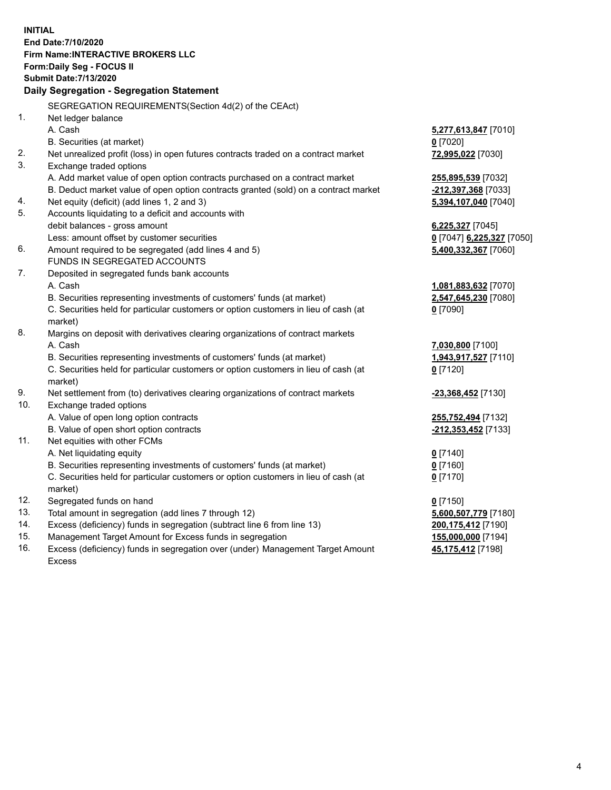**INITIAL End Date:7/10/2020 Firm Name:INTERACTIVE BROKERS LLC Form:Daily Seg - FOCUS II Submit Date:7/13/2020 Daily Segregation - Segregation Statement** SEGREGATION REQUIREMENTS(Section 4d(2) of the CEAct) 1. Net ledger balance A. Cash **5,277,613,847** [7010] B. Securities (at market) **0** [7020] 2. Net unrealized profit (loss) in open futures contracts traded on a contract market **72,995,022** [7030] 3. Exchange traded options A. Add market value of open option contracts purchased on a contract market **255,895,539** [7032] B. Deduct market value of open option contracts granted (sold) on a contract market **-212,397,368** [7033] 4. Net equity (deficit) (add lines 1, 2 and 3) **5,394,107,040** [7040] 5. Accounts liquidating to a deficit and accounts with debit balances - gross amount **6,225,327** [7045] Less: amount offset by customer securities **0** [7047] **6,225,327** [7050] 6. Amount required to be segregated (add lines 4 and 5) **5,400,332,367** [7060] FUNDS IN SEGREGATED ACCOUNTS 7. Deposited in segregated funds bank accounts A. Cash **1,081,883,632** [7070] B. Securities representing investments of customers' funds (at market) **2,547,645,230** [7080] C. Securities held for particular customers or option customers in lieu of cash (at market) **0** [7090] 8. Margins on deposit with derivatives clearing organizations of contract markets A. Cash **7,030,800** [7100] B. Securities representing investments of customers' funds (at market) **1,943,917,527** [7110] C. Securities held for particular customers or option customers in lieu of cash (at market) **0** [7120] 9. Net settlement from (to) derivatives clearing organizations of contract markets **-23,368,452** [7130] 10. Exchange traded options A. Value of open long option contracts **255,752,494** [7132] B. Value of open short option contracts **-212,353,452** [7133] 11. Net equities with other FCMs A. Net liquidating equity **0** [7140] B. Securities representing investments of customers' funds (at market) **0** [7160] C. Securities held for particular customers or option customers in lieu of cash (at market) **0** [7170] 12. Segregated funds on hand **0** [7150] 13. Total amount in segregation (add lines 7 through 12) **5,600,507,779** [7180] 14. Excess (deficiency) funds in segregation (subtract line 6 from line 13) **200,175,412** [7190] 15. Management Target Amount for Excess funds in segregation **155,000,000** [7194] 16. Excess (deficiency) funds in segregation over (under) Management Target Amount **45,175,412** [7198]

Excess